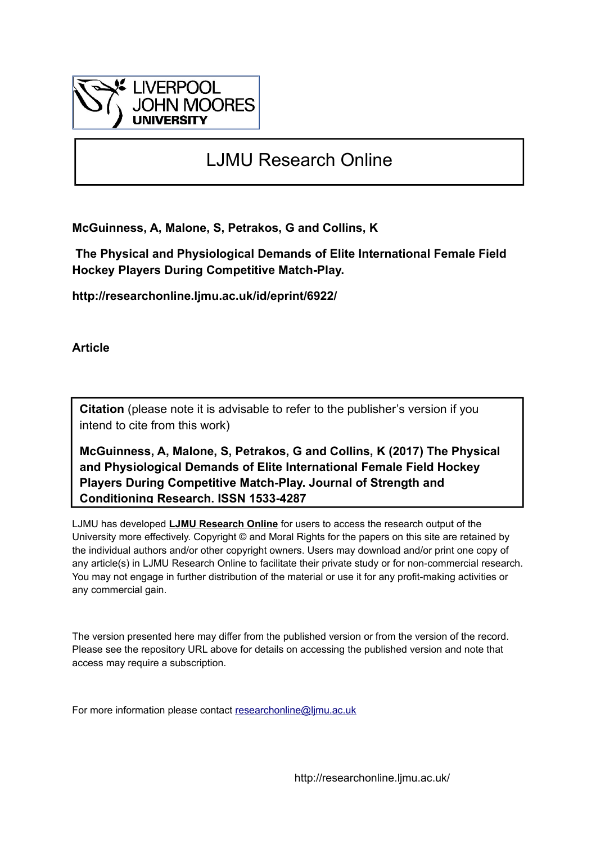

# LJMU Research Online

**McGuinness, A, Malone, S, Petrakos, G and Collins, K**

 **The Physical and Physiological Demands of Elite International Female Field Hockey Players During Competitive Match-Play.**

**http://researchonline.ljmu.ac.uk/id/eprint/6922/**

**Article**

**Citation** (please note it is advisable to refer to the publisher's version if you intend to cite from this work)

**McGuinness, A, Malone, S, Petrakos, G and Collins, K (2017) The Physical and Physiological Demands of Elite International Female Field Hockey Players During Competitive Match-Play. Journal of Strength and Conditioning Research. ISSN 1533-4287** 

LJMU has developed **[LJMU Research Online](http://researchonline.ljmu.ac.uk/)** for users to access the research output of the University more effectively. Copyright © and Moral Rights for the papers on this site are retained by the individual authors and/or other copyright owners. Users may download and/or print one copy of any article(s) in LJMU Research Online to facilitate their private study or for non-commercial research. You may not engage in further distribution of the material or use it for any profit-making activities or any commercial gain.

The version presented here may differ from the published version or from the version of the record. Please see the repository URL above for details on accessing the published version and note that access may require a subscription.

For more information please contact [researchonline@ljmu.ac.uk](mailto:researchonline@ljmu.ac.uk)

http://researchonline.ljmu.ac.uk/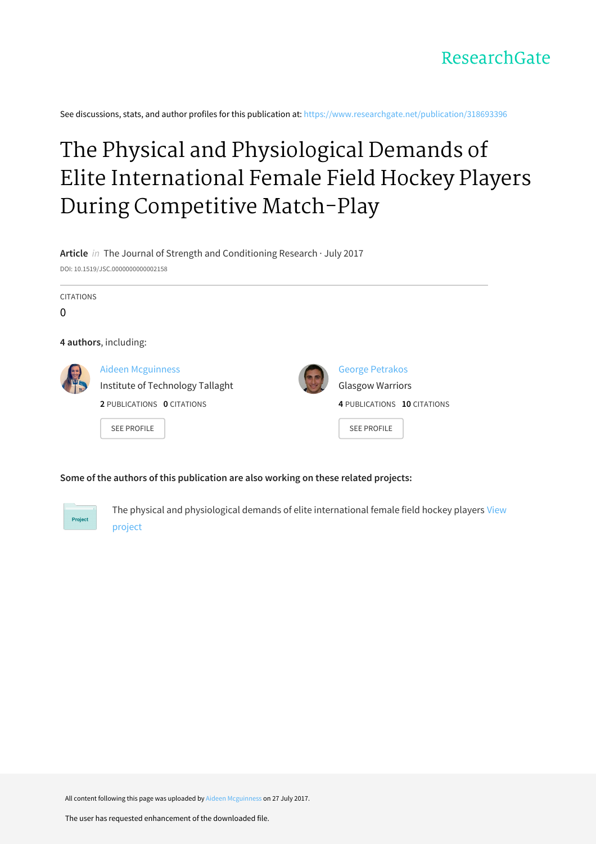See discussions, stats, and author profiles for this publication at: [https://www.researchgate.net/publication/318693396](https://www.researchgate.net/publication/318693396_The_Physical_and_Physiological_Demands_of_Elite_International_Female_Field_Hockey_Players_During_Competitive_Match-Play?enrichId=rgreq-9587fabd1ee37ba66cee429bd0a5148c-XXX&enrichSource=Y292ZXJQYWdlOzMxODY5MzM5NjtBUzo1MjA2NTU4NDM5NzkyNjRAMTUwMTE0NTQzNDQ1Mg%3D%3D&el=1_x_2&_esc=publicationCoverPdf)

# The Physical and Physiological Demands of Elite [International](https://www.researchgate.net/publication/318693396_The_Physical_and_Physiological_Demands_of_Elite_International_Female_Field_Hockey_Players_During_Competitive_Match-Play?enrichId=rgreq-9587fabd1ee37ba66cee429bd0a5148c-XXX&enrichSource=Y292ZXJQYWdlOzMxODY5MzM5NjtBUzo1MjA2NTU4NDM5NzkyNjRAMTUwMTE0NTQzNDQ1Mg%3D%3D&el=1_x_3&_esc=publicationCoverPdf) Female Field Hockey Players During Competitive Match-Play

**Article** in The Journal of Strength and Conditioning Research · July 2017 DOI: 10.1519/JSC.0000000000002158

CITATIONS

 $\Omega$ 

**4 authors**, including:



Aideen [Mcguinness](https://www.researchgate.net/profile/Aideen_Mcguinness?enrichId=rgreq-9587fabd1ee37ba66cee429bd0a5148c-XXX&enrichSource=Y292ZXJQYWdlOzMxODY5MzM5NjtBUzo1MjA2NTU4NDM5NzkyNjRAMTUwMTE0NTQzNDQ1Mg%3D%3D&el=1_x_5&_esc=publicationCoverPdf) Institute of [Technology](https://www.researchgate.net/institution/Institute_of_Technology_Tallaght?enrichId=rgreq-9587fabd1ee37ba66cee429bd0a5148c-XXX&enrichSource=Y292ZXJQYWdlOzMxODY5MzM5NjtBUzo1MjA2NTU4NDM5NzkyNjRAMTUwMTE0NTQzNDQ1Mg%3D%3D&el=1_x_6&_esc=publicationCoverPdf) Tallaght **2** PUBLICATIONS **0** CITATIONS



George [Petrakos](https://www.researchgate.net/profile/George_Petrakos4?enrichId=rgreq-9587fabd1ee37ba66cee429bd0a5148c-XXX&enrichSource=Y292ZXJQYWdlOzMxODY5MzM5NjtBUzo1MjA2NTU4NDM5NzkyNjRAMTUwMTE0NTQzNDQ1Mg%3D%3D&el=1_x_5&_esc=publicationCoverPdf) Glasgow Warriors **4** PUBLICATIONS **10** CITATIONS

SEE [PROFILE](https://www.researchgate.net/profile/Aideen_Mcguinness?enrichId=rgreq-9587fabd1ee37ba66cee429bd0a5148c-XXX&enrichSource=Y292ZXJQYWdlOzMxODY5MzM5NjtBUzo1MjA2NTU4NDM5NzkyNjRAMTUwMTE0NTQzNDQ1Mg%3D%3D&el=1_x_7&_esc=publicationCoverPdf)



#### **Some of the authors of this publication are also working on these related projects:**



The physical and [physiological](https://www.researchgate.net/project/The-physical-and-physiological-demands-of-elite-international-female-field-hockey-players?enrichId=rgreq-9587fabd1ee37ba66cee429bd0a5148c-XXX&enrichSource=Y292ZXJQYWdlOzMxODY5MzM5NjtBUzo1MjA2NTU4NDM5NzkyNjRAMTUwMTE0NTQzNDQ1Mg%3D%3D&el=1_x_9&_esc=publicationCoverPdf) demands of elite international female field hockey players View project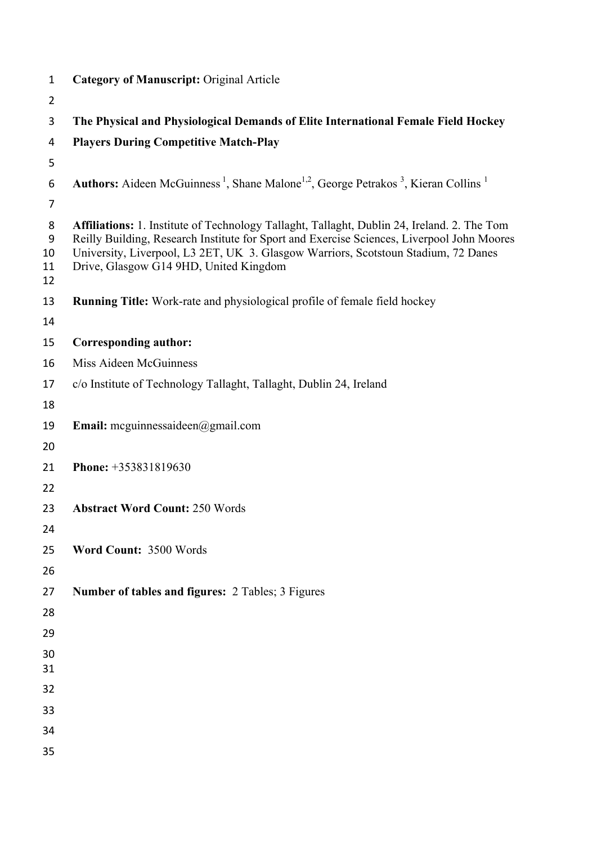| $\mathbf{1}$             | <b>Category of Manuscript: Original Article</b>                                                                                                                                                                                                                                                                                  |  |  |  |
|--------------------------|----------------------------------------------------------------------------------------------------------------------------------------------------------------------------------------------------------------------------------------------------------------------------------------------------------------------------------|--|--|--|
| $\overline{2}$           |                                                                                                                                                                                                                                                                                                                                  |  |  |  |
| 3                        | The Physical and Physiological Demands of Elite International Female Field Hockey                                                                                                                                                                                                                                                |  |  |  |
| 4                        | <b>Players During Competitive Match-Play</b>                                                                                                                                                                                                                                                                                     |  |  |  |
| 5                        |                                                                                                                                                                                                                                                                                                                                  |  |  |  |
| 6                        | Authors: Aideen McGuinness <sup>1</sup> , Shane Malone <sup>1,2</sup> , George Petrakos <sup>3</sup> , Kieran Collins <sup>1</sup>                                                                                                                                                                                               |  |  |  |
| $\overline{7}$           |                                                                                                                                                                                                                                                                                                                                  |  |  |  |
| 8<br>9<br>10<br>11<br>12 | <b>Affiliations:</b> 1. Institute of Technology Tallaght, Tallaght, Dublin 24, Ireland. 2. The Tom<br>Reilly Building, Research Institute for Sport and Exercise Sciences, Liverpool John Moores<br>University, Liverpool, L3 2ET, UK 3. Glasgow Warriors, Scotstoun Stadium, 72 Danes<br>Drive, Glasgow G14 9HD, United Kingdom |  |  |  |
| 13<br>14                 | <b>Running Title:</b> Work-rate and physiological profile of female field hockey                                                                                                                                                                                                                                                 |  |  |  |
| 15                       | <b>Corresponding author:</b>                                                                                                                                                                                                                                                                                                     |  |  |  |
| 16                       | Miss Aideen McGuinness                                                                                                                                                                                                                                                                                                           |  |  |  |
| 17                       | c/o Institute of Technology Tallaght, Tallaght, Dublin 24, Ireland                                                                                                                                                                                                                                                               |  |  |  |
| 18                       |                                                                                                                                                                                                                                                                                                                                  |  |  |  |
| 19                       | <b>Email:</b> mcguinnessaideen@gmail.com                                                                                                                                                                                                                                                                                         |  |  |  |
| 20                       |                                                                                                                                                                                                                                                                                                                                  |  |  |  |
| 21                       | Phone: +353831819630                                                                                                                                                                                                                                                                                                             |  |  |  |
| 22                       |                                                                                                                                                                                                                                                                                                                                  |  |  |  |
| 23                       | <b>Abstract Word Count: 250 Words</b>                                                                                                                                                                                                                                                                                            |  |  |  |
| 24                       |                                                                                                                                                                                                                                                                                                                                  |  |  |  |
| 25                       | Word Count: 3500 Words                                                                                                                                                                                                                                                                                                           |  |  |  |
| 26                       |                                                                                                                                                                                                                                                                                                                                  |  |  |  |
| 27                       | <b>Number of tables and figures: 2 Tables; 3 Figures</b>                                                                                                                                                                                                                                                                         |  |  |  |
| 28                       |                                                                                                                                                                                                                                                                                                                                  |  |  |  |
| 29                       |                                                                                                                                                                                                                                                                                                                                  |  |  |  |
| 30<br>31                 |                                                                                                                                                                                                                                                                                                                                  |  |  |  |
| 32                       |                                                                                                                                                                                                                                                                                                                                  |  |  |  |
| 33                       |                                                                                                                                                                                                                                                                                                                                  |  |  |  |
| 34                       |                                                                                                                                                                                                                                                                                                                                  |  |  |  |
| 35                       |                                                                                                                                                                                                                                                                                                                                  |  |  |  |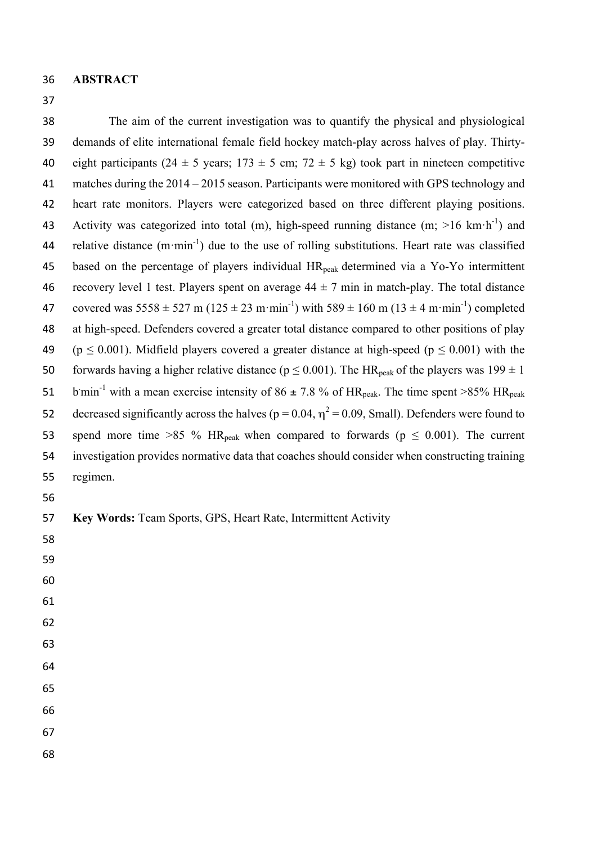**ABSTRACT**

 The aim of the current investigation was to quantify the physical and physiological demands of elite international female field hockey match-play across halves of play. Thirty-40 eight participants (24  $\pm$  5 years; 173  $\pm$  5 cm; 72  $\pm$  5 kg) took part in nineteen competitive matches during the 2014 – 2015 season. Participants were monitored with GPS technology and heart rate monitors. Players were categorized based on three different playing positions. Activity was categorized into total (m), high-speed running distance (m;  $>16$  km·h<sup>-1</sup>) and 44 relative distance  $(m·min^{-1})$  due to the use of rolling substitutions. Heart rate was classified 45 based on the percentage of players individual HR<sub>peak</sub> determined via a Yo-Yo intermittent 46 recovery level 1 test. Players spent on average  $44 \pm 7$  min in match-play. The total distance 47 covered was  $5558 \pm 527$  m ( $125 \pm 23$  m·min<sup>-1</sup>) with  $589 \pm 160$  m ( $13 \pm 4$  m·min<sup>-1</sup>) completed at high-speed. Defenders covered a greater total distance compared to other positions of play 49 (p  $\leq$  0.001). Midfield players covered a greater distance at high-speed (p  $\leq$  0.001) with the 50 forwards having a higher relative distance ( $p \le 0.001$ ). The HR<sub>peak</sub> of the players was  $199 \pm 1$ 51 b.min<sup>-1</sup> with a mean exercise intensity of 86  $\pm$  7.8 % of HR<sub>peak</sub>. The time spent >85% HR<sub>peak</sub> 52 decreased significantly across the halves ( $p = 0.04$ ,  $\eta^2 = 0.09$ , Small). Defenders were found to 53 spend more time >85 % HR<sub>peak</sub> when compared to forwards ( $p \le 0.001$ ). The current investigation provides normative data that coaches should consider when constructing training regimen. **Key Words:** Team Sports, GPS, Heart Rate, Intermittent Activity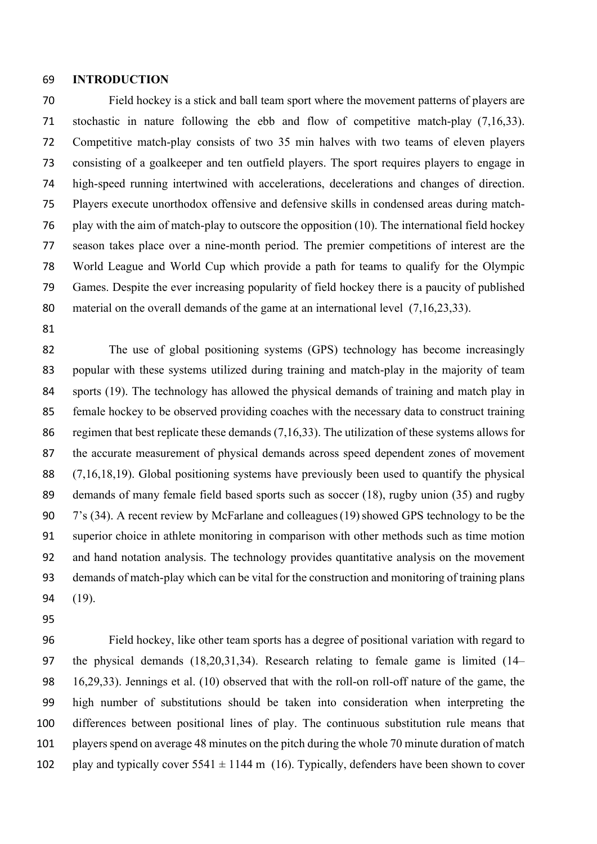#### **INTRODUCTION**

 Field hockey is a stick and ball team sport where the movement patterns of players are stochastic in nature following the ebb and flow of competitive match-play (7,16,33). Competitive match-play consists of two 35 min halves with two teams of eleven players consisting of a goalkeeper and ten outfield players. The sport requires players to engage in high-speed running intertwined with accelerations, decelerations and changes of direction. Players execute unorthodox offensive and defensive skills in condensed areas during match- play with the aim of match-play to outscore the opposition (10). The international field hockey season takes place over a nine-month period. The premier competitions of interest are the World League and World Cup which provide a path for teams to qualify for the Olympic Games. Despite the ever increasing popularity of field hockey there is a paucity of published 80 material on the overall demands of the game at an international level (7,16,23,33).

 The use of global positioning systems (GPS) technology has become increasingly popular with these systems utilized during training and match-play in the majority of team sports (19). The technology has allowed the physical demands of training and match play in female hockey to be observed providing coaches with the necessary data to construct training 86 regimen that best replicate these demands (7,16,33). The utilization of these systems allows for the accurate measurement of physical demands across speed dependent zones of movement (7,16,18,19). Global positioning systems have previously been used to quantify the physical demands of many female field based sports such as soccer (18), rugby union (35) and rugby 7's (34). A recent review by McFarlane and colleagues(19)showed GPS technology to be the superior choice in athlete monitoring in comparison with other methods such as time motion and hand notation analysis. The technology provides quantitative analysis on the movement demands of match-play which can be vital for the construction and monitoring of training plans (19).

 Field hockey, like other team sports has a degree of positional variation with regard to the physical demands (18,20,31,34). Research relating to female game is limited (14– 16,29,33). Jennings et al. (10) observed that with the roll-on roll-off nature of the game, the high number of substitutions should be taken into consideration when interpreting the differences between positional lines of play. The continuous substitution rule means that players spend on average 48 minutes on the pitch during the whole 70 minute duration of match 102 play and typically cover  $5541 \pm 1144$  m (16). Typically, defenders have been shown to cover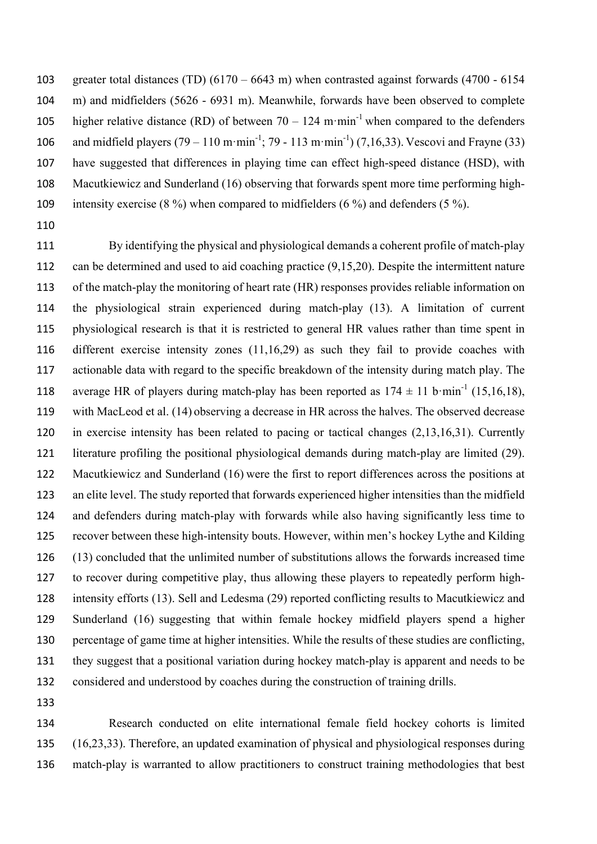greater total distances (TD) (6170 – 6643 m) when contrasted against forwards (4700 - 6154 m) and midfielders (5626 - 6931 m). Meanwhile, forwards have been observed to complete 105 higher relative distance (RD) of between  $70 - 124$  m·min<sup>-1</sup> when compared to the defenders 106 and midfield players  $(79 - 110 \text{ m} \cdot \text{min}^{-1})$ ; 79 - 113 m $\cdot \text{min}^{-1}$ )  $(7,16,33)$ . Vescovi and Frayne (33) have suggested that differences in playing time can effect high-speed distance (HSD), with Macutkiewicz and Sunderland (16) observing that forwards spent more time performing high-intensity exercise (8 %) when compared to midfielders (6 %) and defenders (5 %).

 By identifying the physical and physiological demands a coherent profile of match-play can be determined and used to aid coaching practice (9,15,20). Despite the intermittent nature of the match-play the monitoring of heart rate (HR) responses provides reliable information on the physiological strain experienced during match-play (13). A limitation of current physiological research is that it is restricted to general HR values rather than time spent in different exercise intensity zones (11,16,29) as such they fail to provide coaches with actionable data with regard to the specific breakdown of the intensity during match play. The 118 average HR of players during match-play has been reported as  $174 \pm 11$  b·min<sup>-1</sup> (15,16,18), with MacLeod et al. (14) observing a decrease in HR across the halves. The observed decrease in exercise intensity has been related to pacing or tactical changes (2,13,16,31). Currently literature profiling the positional physiological demands during match-play are limited (29). Macutkiewicz and Sunderland (16) were the first to report differences across the positions at an elite level. The study reported that forwards experienced higher intensities than the midfield and defenders during match-play with forwards while also having significantly less time to recover between these high-intensity bouts. However, within men's hockey Lythe and Kilding (13) concluded that the unlimited number of substitutions allows the forwards increased time to recover during competitive play, thus allowing these players to repeatedly perform high- intensity efforts (13). Sell and Ledesma (29) reported conflicting results to Macutkiewicz and Sunderland (16) suggesting that within female hockey midfield players spend a higher percentage of game time at higher intensities. While the results of these studies are conflicting, they suggest that a positional variation during hockey match-play is apparent and needs to be considered and understood by coaches during the construction of training drills.

 Research conducted on elite international female field hockey cohorts is limited (16,23,33). Therefore, an updated examination of physical and physiological responses during match-play is warranted to allow practitioners to construct training methodologies that best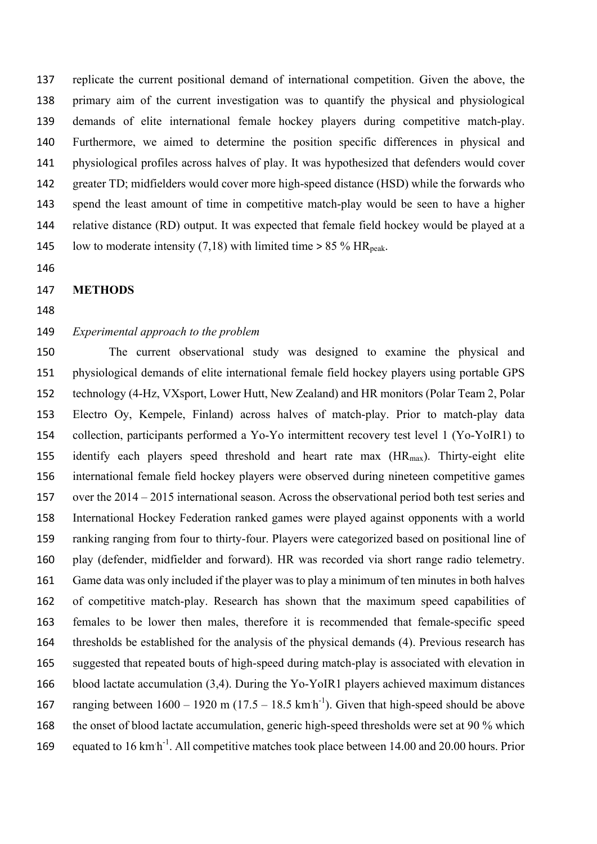replicate the current positional demand of international competition. Given the above, the primary aim of the current investigation was to quantify the physical and physiological demands of elite international female hockey players during competitive match-play. Furthermore, we aimed to determine the position specific differences in physical and physiological profiles across halves of play. It was hypothesized that defenders would cover greater TD; midfielders would cover more high-speed distance (HSD) while the forwards who spend the least amount of time in competitive match-play would be seen to have a higher relative distance (RD) output. It was expected that female field hockey would be played at a 145 low to moderate intensity (7,18) with limited time  $> 85\%$  HR<sub>peak</sub>.

#### **METHODS**

#### *Experimental approach to the problem*

 The current observational study was designed to examine the physical and physiological demands of elite international female field hockey players using portable GPS technology (4-Hz, VXsport, Lower Hutt, New Zealand) and HR monitors (Polar Team 2, Polar Electro Oy, Kempele, Finland) across halves of match-play. Prior to match-play data collection, participants performed a Yo-Yo intermittent recovery test level 1 (Yo-YoIR1) to 155 identify each players speed threshold and heart rate max  $(HR<sub>max</sub>)$ . Thirty-eight elite international female field hockey players were observed during nineteen competitive games over the 2014 – 2015 international season. Across the observational period both test series and International Hockey Federation ranked games were played against opponents with a world ranking ranging from four to thirty-four. Players were categorized based on positional line of play (defender, midfielder and forward). HR was recorded via short range radio telemetry. Game data was only included if the player was to play a minimum of ten minutes in both halves of competitive match-play. Research has shown that the maximum speed capabilities of females to be lower then males, therefore it is recommended that female-specific speed thresholds be established for the analysis of the physical demands (4). Previous research has suggested that repeated bouts of high-speed during match-play is associated with elevation in blood lactate accumulation (3,4). During the Yo-YoIR1 players achieved maximum distances 167 ranging between  $1600 - 1920$  m  $(17.5 - 18.5 \text{ km/h}^3)$ . Given that high-speed should be above the onset of blood lactate accumulation, generic high-speed thresholds were set at 90 % which 169 equated to 16 km<sup>-1</sup>. All competitive matches took place between 14.00 and 20.00 hours. Prior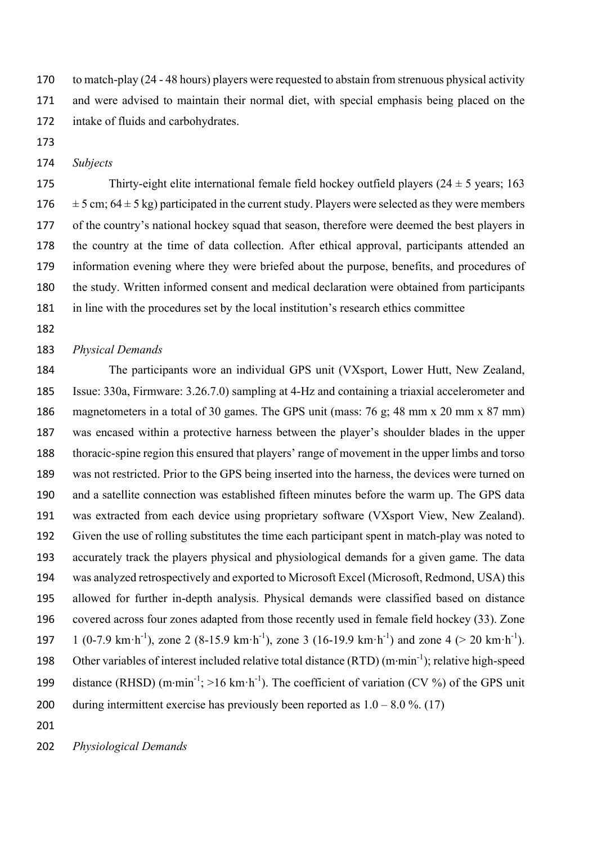to match-play (24 - 48 hours) players were requested to abstain from strenuous physical activity and were advised to maintain their normal diet, with special emphasis being placed on the intake of fluids and carbohydrates.

- 
- *Subjects*

175 Thirty-eight elite international female field hockey outfield players  $(24 \pm 5 \text{ years}; 163$  $\pm$  5 cm; 64  $\pm$  5 kg) participated in the current study. Players were selected as they were members of the country's national hockey squad that season, therefore were deemed the best players in the country at the time of data collection. After ethical approval, participants attended an information evening where they were briefed about the purpose, benefits, and procedures of the study. Written informed consent and medical declaration were obtained from participants in line with the procedures set by the local institution's research ethics committee

#### *Physical Demands*

 The participants wore an individual GPS unit (VXsport, Lower Hutt, New Zealand, Issue: 330a, Firmware: 3.26.7.0) sampling at 4-Hz and containing a triaxial accelerometer and magnetometers in a total of 30 games. The GPS unit (mass: 76 g; 48 mm x 20 mm x 87 mm) was encased within a protective harness between the player's shoulder blades in the upper thoracic-spine region this ensured that players' range of movement in the upper limbs and torso was not restricted. Prior to the GPS being inserted into the harness, the devices were turned on and a satellite connection was established fifteen minutes before the warm up. The GPS data was extracted from each device using proprietary software (VXsport View, New Zealand). Given the use of rolling substitutes the time each participant spent in match-play was noted to accurately track the players physical and physiological demands for a given game. The data was analyzed retrospectively and exported to Microsoft Excel (Microsoft, Redmond, USA) this allowed for further in-depth analysis. Physical demands were classified based on distance covered across four zones adapted from those recently used in female field hockey (33). Zone 197 1 (0-7.9 km·h<sup>-1</sup>), zone 2 (8-15.9 km·h<sup>-1</sup>), zone 3 (16-19.9 km·h<sup>-1</sup>) and zone 4 (> 20 km·h<sup>-1</sup>). 198 Other variables of interest included relative total distance  $(RTD)$  (m·min<sup>-1</sup>); relative high-speed 199 distance (RHSD)  $(m \cdot min^{-1})$ ; >16 km $\cdot h^{-1}$ ). The coefficient of variation (CV %) of the GPS unit 200 during intermittent exercise has previously been reported as  $1.0 - 8.0 \%$ . (17)

*Physiological Demands*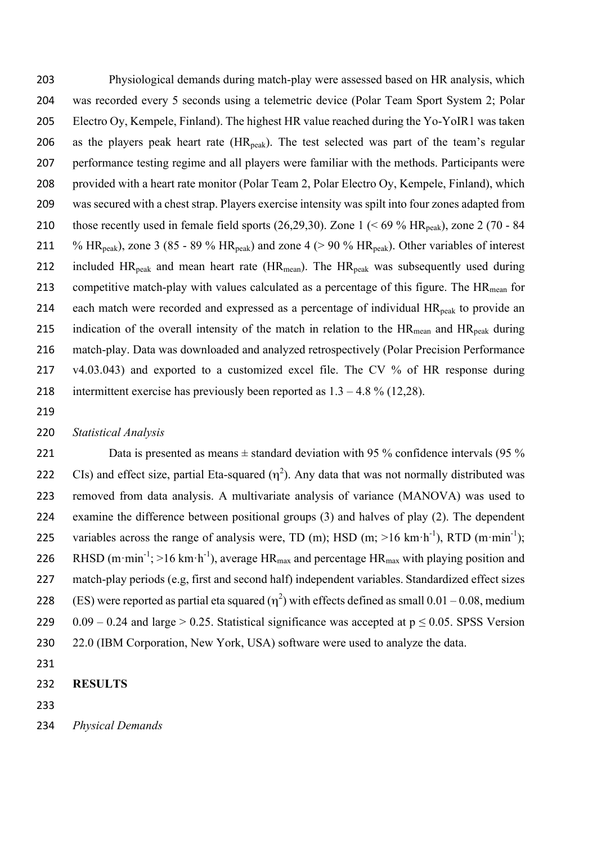203 Physiological demands during match-play were assessed based on HR analysis, which 204 was recorded every 5 seconds using a telemetric device (Polar Team Sport System 2; Polar 205 Electro Oy, Kempele, Finland). The highest HR value reached during the Yo-YoIR1 was taken 206 as the players peak heart rate  $(HR_{peak})$ . The test selected was part of the team's regular 207 performance testing regime and all players were familiar with the methods. Participants were 208 provided with a heart rate monitor (Polar Team 2, Polar Electro Oy, Kempele, Finland), which 209 was secured with a chest strap. Players exercise intensity was spilt into four zones adapted from 210 those recently used in female field sports  $(26,29,30)$ . Zone  $1 \le 69\%$  HR<sub>peak</sub>), zone 2 (70 - 84 211 % HR<sub>peak</sub>), zone 3 (85 - 89 % HR<sub>peak</sub>) and zone 4 (> 90 % HR<sub>peak</sub>). Other variables of interest 212 included  $HR_{peak}$  and mean heart rate ( $HR_{mean}$ ). The  $HR_{peak}$  was subsequently used during 213 competitive match-play with values calculated as a percentage of this figure. The  $HR_{mean}$  for 214 each match were recorded and expressed as a percentage of individual  $HR_{peak}$  to provide an 215 indication of the overall intensity of the match in relation to the  $HR_{mean}$  and  $HR_{peak}$  during 216 match-play. Data was downloaded and analyzed retrospectively (Polar Precision Performance 217 v4.03.043) and exported to a customized excel file. The CV % of HR response during 218 intermittent exercise has previously been reported as  $1.3 - 4.8 \%$  (12,28).

219

#### 220 *Statistical Analysis*

221 Data is presented as means  $\pm$  standard deviation with 95 % confidence intervals (95 % 222 CIs) and effect size, partial Eta-squared  $(\eta^2)$ . Any data that was not normally distributed was 223 removed from data analysis. A multivariate analysis of variance (MANOVA) was used to 224 examine the difference between positional groups (3) and halves of play (2). The dependent 225 variables across the range of analysis were, TD (m); HSD (m;  $>16$  km·h<sup>-1</sup>), RTD (m·min<sup>-1</sup>); 226 RHSD (m·min<sup>-1</sup>; >16 km·h<sup>-1</sup>), average HR<sub>max</sub> and percentage HR<sub>max</sub> with playing position and 227 match-play periods (e.g, first and second half) independent variables. Standardized effect sizes 228 (ES) were reported as partial eta squared  $(\eta^2)$  with effects defined as small 0.01 – 0.08, medium 229 0.09 – 0.24 and large > 0.25. Statistical significance was accepted at  $p \le 0.05$ . SPSS Version 230 22.0 (IBM Corporation, New York, USA) software were used to analyze the data.

231

233

<sup>232</sup> **RESULTS**

<sup>234</sup> *Physical Demands*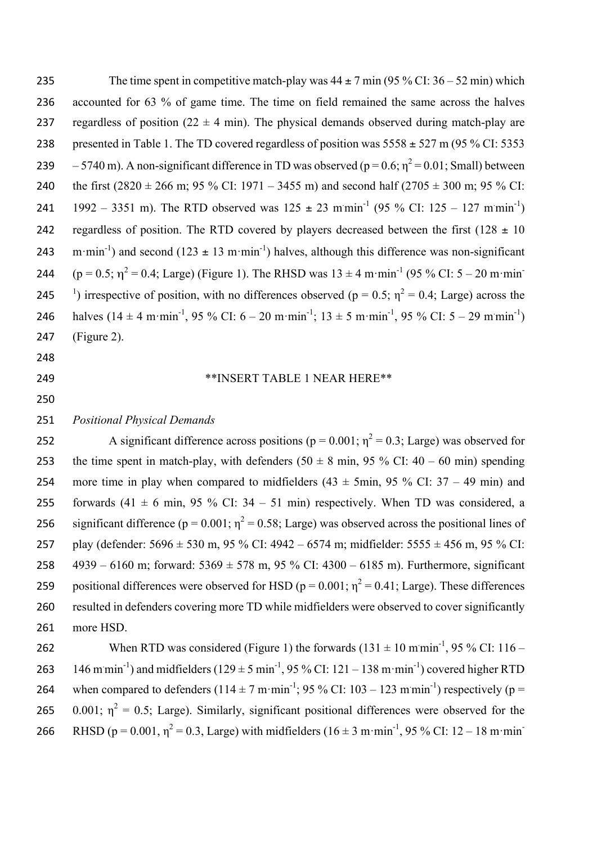235 The time spent in competitive match-play was  $44 \pm 7$  min (95 % CI:  $36 - 52$  min) which 236 accounted for 63 % of game time. The time on field remained the same across the halves 237 regardless of position  $(22 \pm 4 \text{ min})$ . The physical demands observed during match-play are 238 presented in Table 1. The TD covered regardless of position was  $5558 \pm 527$  m (95 % CI: 5353 239  $-5740$  m). A non-significant difference in TD was observed ( $p = 0.6$ ;  $n^2 = 0.01$ ; Small) between 240 the first  $(2820 \pm 266 \text{ m}; 95\% \text{ CI}: 1971 - 3455 \text{ m})$  and second half  $(2705 \pm 300 \text{ m}; 95\% \text{ CI}: 1971 - 3455 \text{ m})$ 241 1992 – 3351 m). The RTD observed was  $125 \pm 23$  mmin<sup>-1</sup> (95 % CI: 125 – 127 mmin<sup>-1</sup>) 242 regardless of position. The RTD covered by players decreased between the first (128  $\pm$  10 243 m·min<sup>-1</sup>) and second (123  $\pm$  13 m·min<sup>-1</sup>) halves, although this difference was non-significant 244 (p = 0.5;  $\eta^2$  = 0.4; Large) (Figure 1). The RHSD was  $13 \pm 4$  m·min<sup>-1</sup> (95 % CI: 5 – 20 m·min 245 <sup>1</sup>) irrespective of position, with no differences observed ( $p = 0.5$ ;  $\eta^2 = 0.4$ ; Large) across the 246 halves  $(14 \pm 4 \text{ m}\cdot\text{min}^{-1}, 95\% \text{ CI: } 6-20 \text{ m}\cdot\text{min}^{-1}; 13 \pm 5 \text{ m}\cdot\text{min}^{-1}, 95\% \text{ CI: } 5-29 \text{ m}\cdot\text{min}^{-1})$ 247 (Figure 2).

- 248
- 
- 250

#### 249 \*\*INSERT TABLE 1 NEAR HERE\*\*

251 *Positional Physical Demands*

252 A significant difference across positions ( $p = 0.001$ ;  $\eta^2 = 0.3$ ; Large) was observed for 253 the time spent in match-play, with defenders  $(50 \pm 8 \text{ min}, 95\% \text{ CI}$ :  $40 - 60 \text{ min}$ ) spending 254 more time in play when compared to midfielders  $(43 \pm 5)$ min,  $95\%$  CI:  $37 - 49$  min) and 255 forwards (41  $\pm$  6 min, 95 % CI: 34 – 51 min) respectively. When TD was considered, a 256 significant difference ( $p = 0.001$ ;  $\eta^2 = 0.58$ ; Large) was observed across the positional lines of 257 play (defender: 5696 ± 530 m, 95 % CI: 4942 – 6574 m; midfielder: 5555 ± 456 m, 95 % CI: 258  $4939 - 6160$  m; forward:  $5369 \pm 578$  m,  $95\%$  CI:  $4300 - 6185$  m). Furthermore, significant 259 positional differences were observed for HSD ( $p = 0.001$ ;  $\eta^2 = 0.41$ ; Large). These differences 260 resulted in defenders covering more TD while midfielders were observed to cover significantly 261 more HSD.

262 When RTD was considered (Figure 1) the forwards  $(131 \pm 10 \text{ m/min}^{-1}, 95\% \text{ CI: } 116 -$ 263 146 mmin<sup>-1</sup>) and midfielders ( $129 \pm 5$  min<sup>-1</sup>, 95 % CI: 121 – 138 m·min<sup>-1</sup>) covered higher RTD 264 when compared to defenders  $(114 \pm 7 \text{ m} \cdot \text{min}^{-1})$ ; 95 % CI: 103 – 123 m $\text{min}^{-1}$ ) respectively (p = 265 0.001;  $\eta^2 = 0.5$ ; Large). Similarly, significant positional differences were observed for the 266 RHSD ( $p = 0.001$ ,  $\eta^2 = 0.3$ , Large) with midfielders (16 ± 3 m·min<sup>-1</sup>, 95 % CI: 12 – 18 m·min<sup>-1</sup>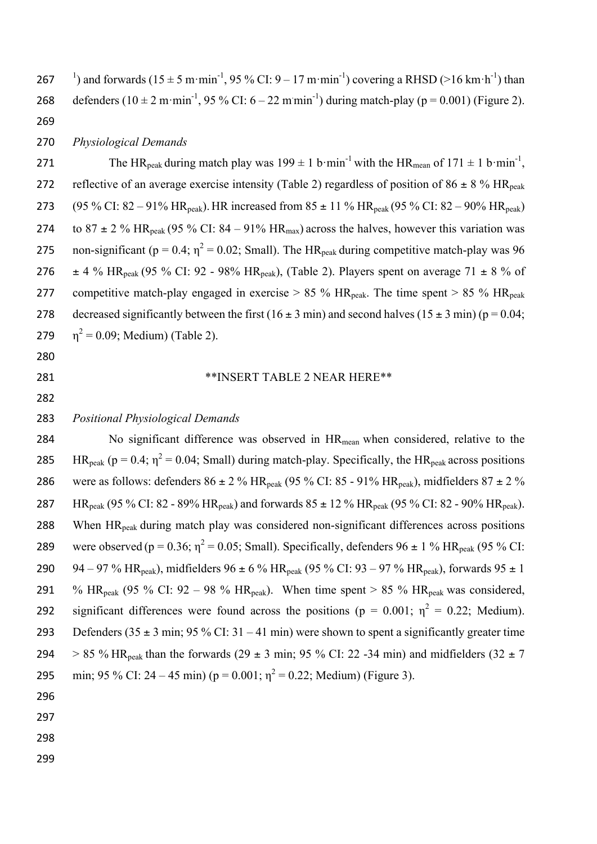267 <sup>1</sup>) and forwards (15  $\pm$  5 m·min<sup>-1</sup>, 95 % CI: 9 – 17 m·min<sup>-1</sup>) covering a RHSD (>16 km·h<sup>-1</sup>) than 268 defenders (10  $\pm$  2 m·min<sup>-1</sup>, 95 % CI: 6 – 22 m·min<sup>-1</sup>) during match-play (p = 0.001) (Figure 2). 269

#### 270 *Physiological Demands*

271 The HR<sub>peak</sub> during match play was  $199 \pm 1$  b·min<sup>-1</sup> with the HR<sub>mean</sub> of  $171 \pm 1$  b·min<sup>-1</sup>. 272 reflective of an average exercise intensity (Table 2) regardless of position of 86  $\pm$  8 % HR<sub>peak</sub> 273 (95 % CI:  $82 - 91\%$  HR<sub>peak</sub>). HR increased from  $85 \pm 11$  % HR<sub>peak</sub> (95 % CI:  $82 - 90\%$  HR<sub>peak</sub>) 274 to  $87 \pm 2$  % HR<sub>peak</sub> (95 % CI:  $84 - 91\%$  HR<sub>max</sub>) across the halves, however this variation was 275 non-significant ( $p = 0.4$ ;  $\eta^2 = 0.02$ ; Small). The HR<sub>peak</sub> during competitive match-play was 96 276  $\pm$  4 % HR<sub>peak</sub> (95 % CI: 92 - 98% HR<sub>peak</sub>), (Table 2). Players spent on average 71  $\pm$  8 % of 277 competitive match-play engaged in exercise  $> 85\%$  HR<sub>peak</sub>. The time spent  $> 85\%$  HR<sub>peak</sub> 278 decreased significantly between the first  $(16 \pm 3 \text{ min})$  and second halves  $(15 \pm 3 \text{ min})$  (p = 0.04; 279  $\eta^2 = 0.09$ ; Medium) (Table 2).

- 280
- 

#### 281 \*\*INSERT TABLE 2 NEAR HERE\*\*

282

### 283 *Positional Physiological Demands*

284 No significant difference was observed in  $HR_{mean}$  when considered, relative to the 285 HR<sub>peak</sub> ( $p = 0.4$ ;  $\eta^2 = 0.04$ ; Small) during match-play. Specifically, the HR<sub>peak</sub> across positions 286 were as follows: defenders  $86 \pm 2$  % HR<sub>peak</sub> (95 % CI: 85 - 91% HR<sub>peak</sub>), midfielders  $87 \pm 2$  % 287 HR<sub>peak</sub> (95 % CI: 82 - 89% HR<sub>peak</sub>) and forwards  $85 \pm 12$  % HR<sub>peak</sub> (95 % CI: 82 - 90% HR<sub>peak</sub>). 288 When HR<sub>peak</sub> during match play was considered non-significant differences across positions 289 were observed (p = 0.36;  $\eta^2$  = 0.05; Small). Specifically, defenders 96 ± 1 % HR<sub>peak</sub> (95 % CI: 290 94 – 97 % HR<sub>peak</sub>), midfielders 96 ± 6 % HR<sub>peak</sub> (95 % CI: 93 – 97 % HR<sub>peak</sub>), forwards 95 ± 1 291 % HR<sub>peak</sub> (95 % CI: 92 – 98 % HR<sub>peak</sub>). When time spent > 85 % HR<sub>peak</sub> was considered, 292 significant differences were found across the positions ( $p = 0.001$ ;  $\eta^2 = 0.22$ ; Medium). 293 Defenders  $(35 \pm 3 \text{ min}; 95\% \text{ CI}; 31 - 41 \text{ min})$  were shown to spent a significantly greater time 294 > 85 % HR<sub>peak</sub> than the forwards (29  $\pm$  3 min; 95 % CI: 22 -34 min) and midfielders (32  $\pm$  7 295 min; 95 % CI: 24 – 45 min) (p = 0.001;  $n^2 = 0.22$ ; Medium) (Figure 3).

- 296
- 297
- 298
- 299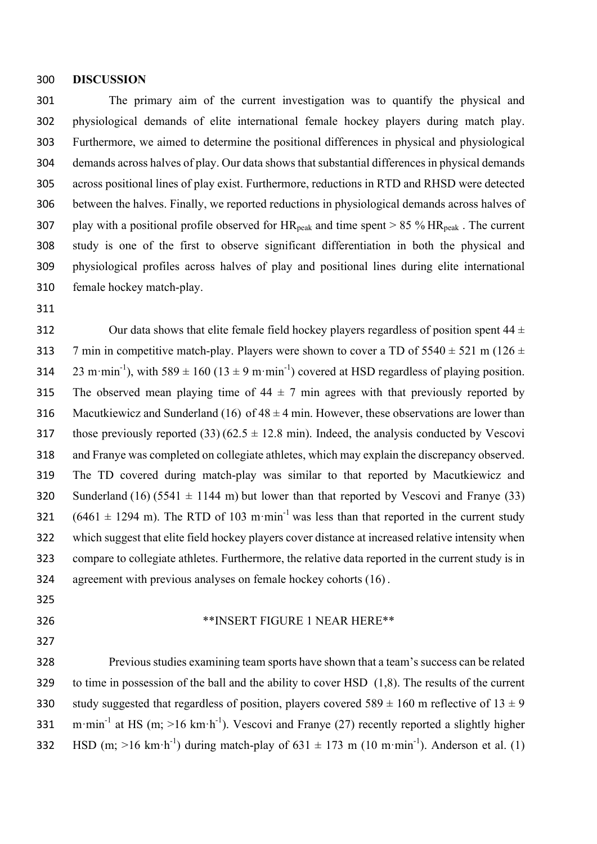#### **DISCUSSION**

 The primary aim of the current investigation was to quantify the physical and physiological demands of elite international female hockey players during match play. Furthermore, we aimed to determine the positional differences in physical and physiological demands across halves of play. Our data shows that substantial differences in physical demands across positional lines of play exist. Furthermore, reductions in RTD and RHSD were detected between the halves. Finally, we reported reductions in physiological demands across halves of 307 play with a positional profile observed for  $HR_{peak}$  and time spent  $> 85\%$  HR<sub>peak</sub>. The current study is one of the first to observe significant differentiation in both the physical and physiological profiles across halves of play and positional lines during elite international female hockey match-play.

312 Our data shows that elite female field hockey players regardless of position spent  $44 \pm 1$ 313 7 min in competitive match-play. Players were shown to cover a TD of  $5540 \pm 521$  m ( $126 \pm 126$ ) 314 23 m·min<sup>-1</sup>), with 589  $\pm$  160 (13  $\pm$  9 m·min<sup>-1</sup>) covered at HSD regardless of playing position. 315 The observed mean playing time of  $44 \pm 7$  min agrees with that previously reported by 316 Macutkiewicz and Sunderland (16) of  $48 \pm 4$  min. However, these observations are lower than 317 those previously reported (33) (62.5  $\pm$  12.8 min). Indeed, the analysis conducted by Vescovi and Franye was completed on collegiate athletes, which may explain the discrepancy observed. The TD covered during match-play was similar to that reported by Macutkiewicz and 320 Sunderland (16) (5541  $\pm$  1144 m) but lower than that reported by Vescovi and Franye (33) 321  $(6461 \pm 1294 \text{ m})$ . The RTD of 103 m·min<sup>-1</sup> was less than that reported in the current study which suggest that elite field hockey players cover distance at increased relative intensity when compare to collegiate athletes. Furthermore, the relative data reported in the current study is in agreement with previous analyses on female hockey cohorts (16) .

- 
- \*\*INSERT FIGURE 1 NEAR HERE\*\*
- 

 Previous studies examining team sports have shown that a team's success can be related to time in possession of the ball and the ability to cover HSD (1,8). The results of the current 330 study suggested that regardless of position, players covered  $589 \pm 160$  m reflective of  $13 \pm 9$ 331 m·min<sup>-1</sup> at HS (m; >16 km·h<sup>-1</sup>). Vescovi and Franye (27) recently reported a slightly higher 332 HSD (m; >16 km·h<sup>-1</sup>) during match-play of  $631 \pm 173$  m (10 m·min<sup>-1</sup>). Anderson et al. (1)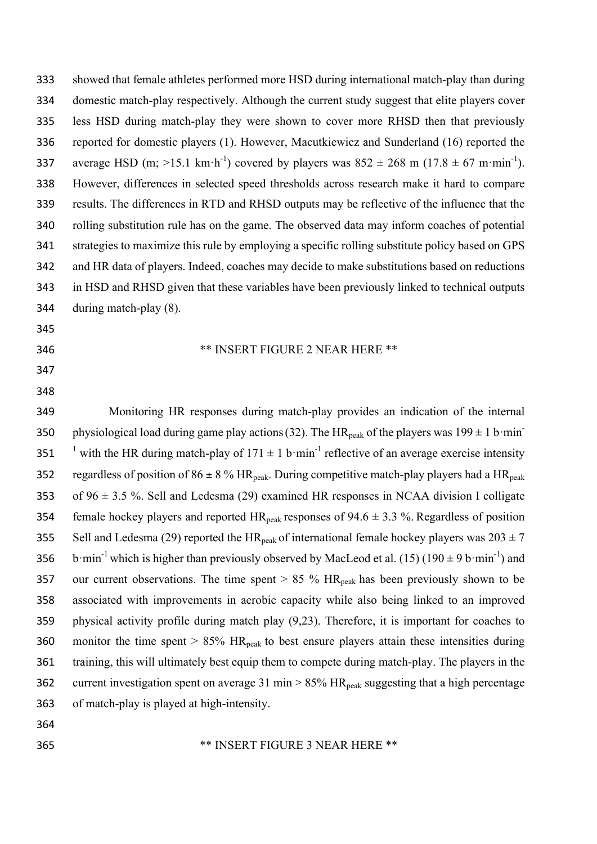showed that female athletes performed more HSD during international match-play than during domestic match-play respectively. Although the current study suggest that elite players cover less HSD during match-play they were shown to cover more RHSD then that previously reported for domestic players (1). However, Macutkiewicz and Sunderland (16) reported the 337 average HSD (m; >15.1 km·h<sup>-1</sup>) covered by players was  $852 \pm 268$  m (17.8  $\pm$  67 m·min<sup>-1</sup>). However, differences in selected speed thresholds across research make it hard to compare results. The differences in RTD and RHSD outputs may be reflective of the influence that the rolling substitution rule has on the game. The observed data may inform coaches of potential strategies to maximize this rule by employing a specific rolling substitute policy based on GPS and HR data of players. Indeed, coaches may decide to make substitutions based on reductions in HSD and RHSD given that these variables have been previously linked to technical outputs during match-play (8). 

\*\* INSERT FIGURE 2 NEAR HERE \*\*

- 
- 
- 

 Monitoring HR responses during match-play provides an indication of the internal 350 physiological load during game play actions (32). The HR<sub>peak</sub> of the players was  $199 \pm 1$  b·min-351 <sup> $\frac{1}{2}$ </sup> with the HR during match-play of 171  $\pm$  1 b·min<sup>-1</sup> reflective of an average exercise intensity 352 regardless of position of  $86 \pm 8$  % HR<sub>peak</sub>. During competitive match-play players had a HR<sub>peak</sub> 353 of  $96 \pm 3.5$  %. Sell and Ledesma (29) examined HR responses in NCAA division I colligate 354 female hockey players and reported  $HR_{peak}$  responses of 94.6  $\pm$  3.3 %. Regardless of position 355 Sell and Ledesma (29) reported the HR<sub>peak</sub> of international female hockey players was  $203 \pm 7$ 356 b·min<sup>-1</sup> which is higher than previously observed by MacLeod et al. (15) (190  $\pm$  9 b·min<sup>-1</sup>) and 357 our current observations. The time spent  $> 85 \%$  HR<sub>peak</sub> has been previously shown to be associated with improvements in aerobic capacity while also being linked to an improved physical activity profile during match play (9,23). Therefore, it is important for coaches to 360 monitor the time spent  $> 85\%$  HR<sub>peak</sub> to best ensure players attain these intensities during training, this will ultimately best equip them to compete during match-play. The players in the 362 current investigation spent on average 31 min  $> 85\%$  HR<sub>peak</sub> suggesting that a high percentage of match-play is played at high-intensity.

#### \*\* INSERT FIGURE 3 NEAR HERE \*\*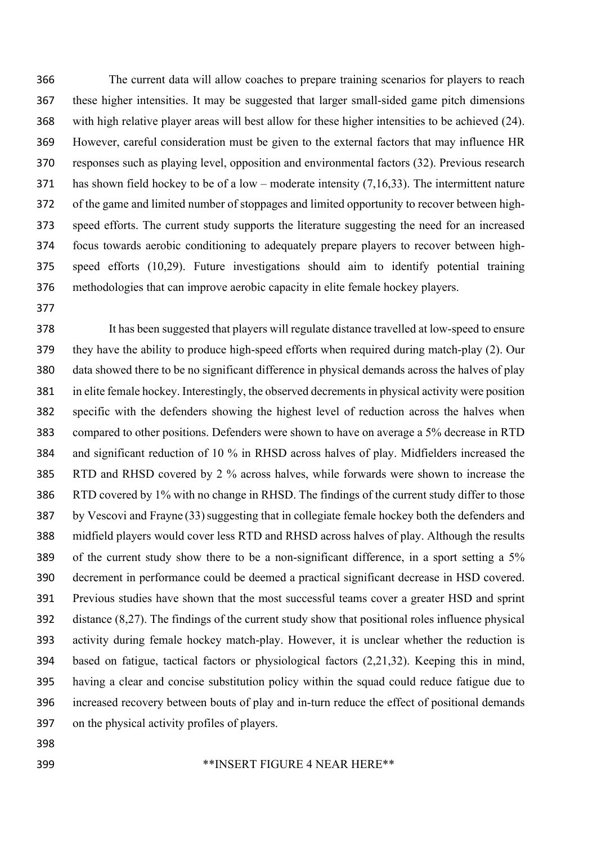The current data will allow coaches to prepare training scenarios for players to reach these higher intensities. It may be suggested that larger small-sided game pitch dimensions with high relative player areas will best allow for these higher intensities to be achieved (24). However, careful consideration must be given to the external factors that may influence HR responses such as playing level, opposition and environmental factors (32). Previous research has shown field hockey to be of a low – moderate intensity (7,16,33). The intermittent nature of the game and limited number of stoppages and limited opportunity to recover between high- speed efforts. The current study supports the literature suggesting the need for an increased focus towards aerobic conditioning to adequately prepare players to recover between high- speed efforts (10,29). Future investigations should aim to identify potential training methodologies that can improve aerobic capacity in elite female hockey players.

 It has been suggested that players will regulate distance travelled at low-speed to ensure they have the ability to produce high-speed efforts when required during match-play (2). Our data showed there to be no significant difference in physical demands across the halves of play in elite female hockey. Interestingly, the observed decrements in physical activity were position specific with the defenders showing the highest level of reduction across the halves when compared to other positions. Defenders were shown to have on average a 5% decrease in RTD and significant reduction of 10 % in RHSD across halves of play. Midfielders increased the RTD and RHSD covered by 2 % across halves, while forwards were shown to increase the RTD covered by 1% with no change in RHSD. The findings of the current study differ to those by Vescovi and Frayne (33)suggesting that in collegiate female hockey both the defenders and midfield players would cover less RTD and RHSD across halves of play. Although the results of the current study show there to be a non-significant difference, in a sport setting a 5% decrement in performance could be deemed a practical significant decrease in HSD covered. Previous studies have shown that the most successful teams cover a greater HSD and sprint distance (8,27). The findings of the current study show that positional roles influence physical activity during female hockey match-play. However, it is unclear whether the reduction is based on fatigue, tactical factors or physiological factors (2,21,32). Keeping this in mind, having a clear and concise substitution policy within the squad could reduce fatigue due to increased recovery between bouts of play and in-turn reduce the effect of positional demands on the physical activity profiles of players.

- 
- 

#### \*\*INSERT FIGURE 4 NEAR HERE\*\*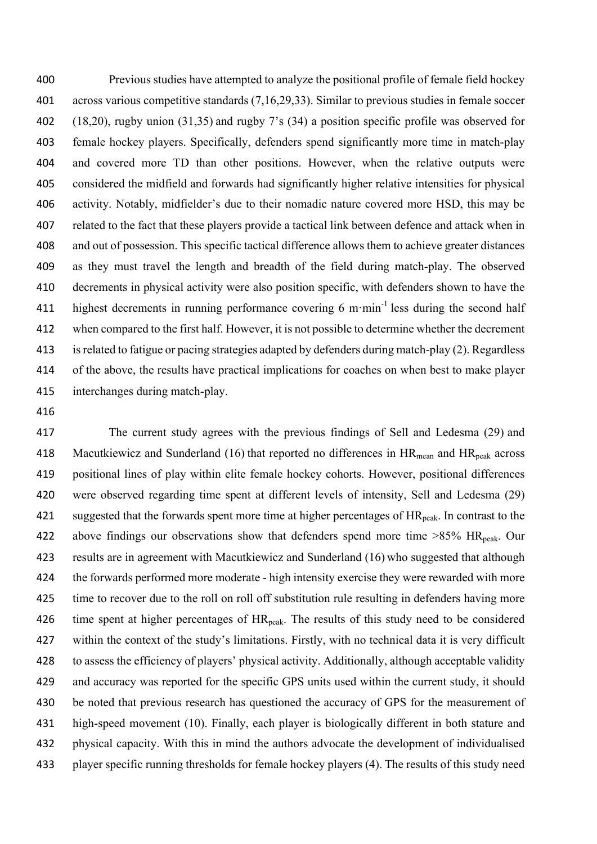Previous studies have attempted to analyze the positional profile of female field hockey across various competitive standards (7,16,29,33). Similar to previous studies in female soccer (18,20), rugby union (31,35) and rugby 7's (34) a position specific profile was observed for female hockey players. Specifically, defenders spend significantly more time in match-play and covered more TD than other positions. However, when the relative outputs were considered the midfield and forwards had significantly higher relative intensities for physical activity. Notably, midfielder's due to their nomadic nature covered more HSD, this may be related to the fact that these players provide a tactical link between defence and attack when in and out of possession. This specific tactical difference allows them to achieve greater distances as they must travel the length and breadth of the field during match-play. The observed decrements in physical activity were also position specific, with defenders shown to have the 411 highest decrements in running performance covering 6 m·min<sup>-1</sup> less during the second half when compared to the first half. However, it is not possible to determine whether the decrement is related to fatigue or pacing strategies adapted by defenders during match-play (2). Regardless of the above, the results have practical implications for coaches on when best to make player interchanges during match-play.

 The current study agrees with the previous findings of Sell and Ledesma (29) and 418 Macutkiewicz and Sunderland (16) that reported no differences in  $HR_{mean}$  and  $HR_{peak}$  across positional lines of play within elite female hockey cohorts. However, positional differences were observed regarding time spent at different levels of intensity, Sell and Ledesma (29) 421 suggested that the forwards spent more time at higher percentages of  $HR_{peak}$ . In contrast to the 422 above findings our observations show that defenders spend more time  $>85\%$  HR<sub>peak</sub>. Our results are in agreement with Macutkiewicz and Sunderland (16) who suggested that although the forwards performed more moderate - high intensity exercise they were rewarded with more time to recover due to the roll on roll off substitution rule resulting in defenders having more 426 time spent at higher percentages of  $HR_{peak}$ . The results of this study need to be considered within the context of the study's limitations. Firstly, with no technical data it is very difficult to assess the efficiency of players' physical activity. Additionally, although acceptable validity and accuracy was reported for the specific GPS units used within the current study, it should 430 be noted that previous research has questioned the accuracy of GPS for the measurement of high-speed movement (10). Finally, each player is biologically different in both stature and physical capacity. With this in mind the authors advocate the development of individualised player specific running thresholds for female hockey players (4). The results of this study need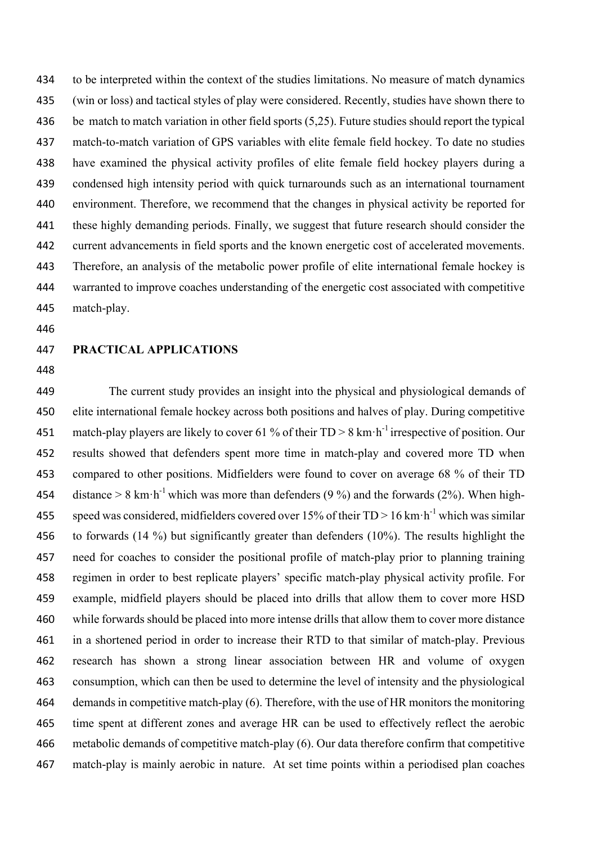to be interpreted within the context of the studies limitations. No measure of match dynamics (win or loss) and tactical styles of play were considered. Recently, studies have shown there to be match to match variation in other field sports (5,25). Future studies should report the typical match-to-match variation of GPS variables with elite female field hockey. To date no studies have examined the physical activity profiles of elite female field hockey players during a condensed high intensity period with quick turnarounds such as an international tournament environment. Therefore, we recommend that the changes in physical activity be reported for these highly demanding periods. Finally, we suggest that future research should consider the current advancements in field sports and the known energetic cost of accelerated movements. Therefore, an analysis of the metabolic power profile of elite international female hockey is warranted to improve coaches understanding of the energetic cost associated with competitive match-play.

#### **PRACTICAL APPLICATIONS**

 The current study provides an insight into the physical and physiological demands of elite international female hockey across both positions and halves of play. During competitive 451 match-play players are likely to cover 61 % of their  $TD > 8$  km·h<sup>-1</sup> irrespective of position. Our results showed that defenders spent more time in match-play and covered more TD when compared to other positions. Midfielders were found to cover on average 68 % of their TD 454 distance  $> 8 \text{ km} \cdot \text{h}^{-1}$  which was more than defenders (9 %) and the forwards (2%). When high-455 speed was considered, midfielders covered over 15% of their  $TD > 16$  km·h<sup>-1</sup> which was similar to forwards (14 %) but significantly greater than defenders (10%). The results highlight the need for coaches to consider the positional profile of match-play prior to planning training regimen in order to best replicate players' specific match-play physical activity profile. For example, midfield players should be placed into drills that allow them to cover more HSD while forwards should be placed into more intense drills that allow them to cover more distance in a shortened period in order to increase their RTD to that similar of match-play. Previous research has shown a strong linear association between HR and volume of oxygen consumption, which can then be used to determine the level of intensity and the physiological demands in competitive match-play (6). Therefore, with the use of HR monitors the monitoring time spent at different zones and average HR can be used to effectively reflect the aerobic metabolic demands of competitive match-play (6). Our data therefore confirm that competitive match-play is mainly aerobic in nature. At set time points within a periodised plan coaches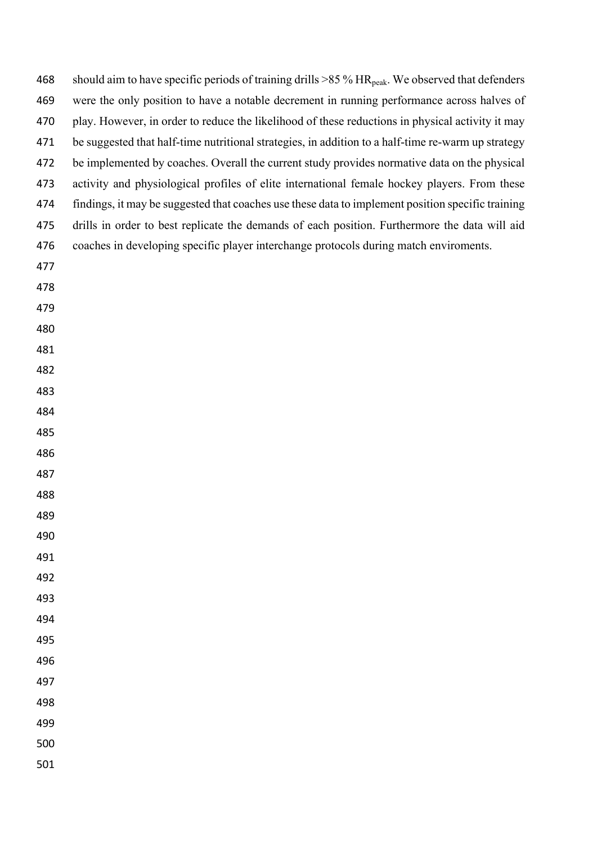| 468 | should aim to have specific periods of training drills $>85\%$ HR <sub>peak</sub> . We observed that defenders |
|-----|----------------------------------------------------------------------------------------------------------------|
| 469 | were the only position to have a notable decrement in running performance across halves of                     |
| 470 | play. However, in order to reduce the likelihood of these reductions in physical activity it may               |
| 471 | be suggested that half-time nutritional strategies, in addition to a half-time re-warm up strategy             |
| 472 | be implemented by coaches. Overall the current study provides normative data on the physical                   |
| 473 | activity and physiological profiles of elite international female hockey players. From these                   |
| 474 | findings, it may be suggested that coaches use these data to implement position specific training              |
| 475 | drills in order to best replicate the demands of each position. Furthermore the data will aid                  |
| 476 | coaches in developing specific player interchange protocols during match enviroments.                          |
| 477 |                                                                                                                |
| 478 |                                                                                                                |
| 479 |                                                                                                                |
| 480 |                                                                                                                |
| 481 |                                                                                                                |
| 482 |                                                                                                                |
| 483 |                                                                                                                |
| 484 |                                                                                                                |
| 485 |                                                                                                                |
| 486 |                                                                                                                |
| 487 |                                                                                                                |
| 488 |                                                                                                                |
| 489 |                                                                                                                |
| 490 |                                                                                                                |
| 491 |                                                                                                                |
| 492 |                                                                                                                |
| 493 |                                                                                                                |
| 494 |                                                                                                                |
| 495 |                                                                                                                |
| 496 |                                                                                                                |
| 497 |                                                                                                                |
| 498 |                                                                                                                |
| 499 |                                                                                                                |
| 500 |                                                                                                                |
| 501 |                                                                                                                |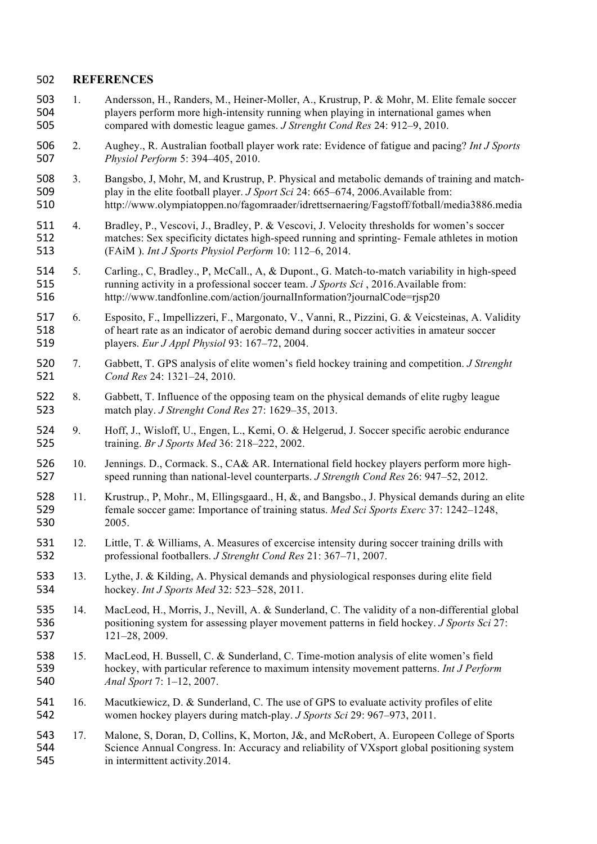#### **REFERENCES**

- 1. Andersson, H., Randers, M., Heiner-Moller, A., Krustrup, P. & Mohr, M. Elite female soccer players perform more high-intensity running when playing in international games when compared with domestic league games. *J Strenght Cond Res* 24: 912–9, 2010.
- 2. Aughey., R. Australian football player work rate: Evidence of fatigue and pacing? *Int J Sports Physiol Perform* 5: 394–405, 2010.
- 3. Bangsbo, J, Mohr, M, and Krustrup, P. Physical and metabolic demands of training and match- play in the elite football player. *J Sport Sci* 24: 665–674, 2006.Available from: http://www.olympiatoppen.no/fagomraader/idrettsernaering/Fagstoff/fotball/media3886.media
- 4. Bradley, P., Vescovi, J., Bradley, P. & Vescovi, J. Velocity thresholds for women's soccer matches: Sex specificity dictates high-speed running and sprinting- Female athletes in motion (FAiM ). *Int J Sports Physiol Perform* 10: 112–6, 2014.
- 5. Carling., C, Bradley., P, McCall., A, & Dupont., G. Match-to-match variability in high-speed running activity in a professional soccer team. *J Sports Sci* , 2016.Available from: http://www.tandfonline.com/action/journalInformation?journalCode=rjsp20
- 6. Esposito, F., Impellizzeri, F., Margonato, V., Vanni, R., Pizzini, G. & Veicsteinas, A. Validity of heart rate as an indicator of aerobic demand during soccer activities in amateur soccer players. *Eur J Appl Physiol* 93: 167–72, 2004.
- 7. Gabbett, T. GPS analysis of elite women's field hockey training and competition. *J Strenght Cond Res* 24: 1321–24, 2010.
- 8. Gabbett, T. Influence of the opposing team on the physical demands of elite rugby league match play. *J Strenght Cond Res* 27: 1629–35, 2013.
- 9. Hoff, J., Wisloff, U., Engen, L., Kemi, O. & Helgerud, J. Soccer specific aerobic endurance training. *Br J Sports Med* 36: 218–222, 2002.
- 10. Jennings. D., Cormack. S., CA& AR. International field hockey players perform more high-speed running than national-level counterparts. *J Strength Cond Res* 26: 947–52, 2012.
- 11. Krustrup., P, Mohr., M, Ellingsgaard., H, &, and Bangsbo., J. Physical demands during an elite female soccer game: Importance of training status. *Med Sci Sports Exerc* 37: 1242–1248, 2005.
- 12. Little, T. & Williams, A. Measures of excercise intensity during soccer training drills with professional footballers. *J Strenght Cond Res* 21: 367–71, 2007.
- 13. Lythe, J. & Kilding, A. Physical demands and physiological responses during elite field hockey. *Int J Sports Med* 32: 523–528, 2011.
- 14. MacLeod, H., Morris, J., Nevill, A. & Sunderland, C. The validity of a non-differential global positioning system for assessing player movement patterns in field hockey. *J Sports Sci* 27: 121–28, 2009.
- 538 15. MacLeod, H. Bussell, C. & Sunderland, C. Time-motion analysis of elite women's field<br>539 hockey, with particular reference to maximum intensity movement patterns. *Int J Perforn*  hockey, with particular reference to maximum intensity movement patterns. *Int J Perform Anal Sport* 7: 1–12, 2007.
- 16. Macutkiewicz, D. & Sunderland, C. The use of GPS to evaluate activity profiles of elite women hockey players during match-play. *J Sports Sci* 29: 967–973, 2011.
- 17. Malone, S, Doran, D, Collins, K, Morton, J&, and McRobert, A. Europeen College of Sports Science Annual Congress. In: Accuracy and reliability of VXsport global positioning system in intermittent activity.2014.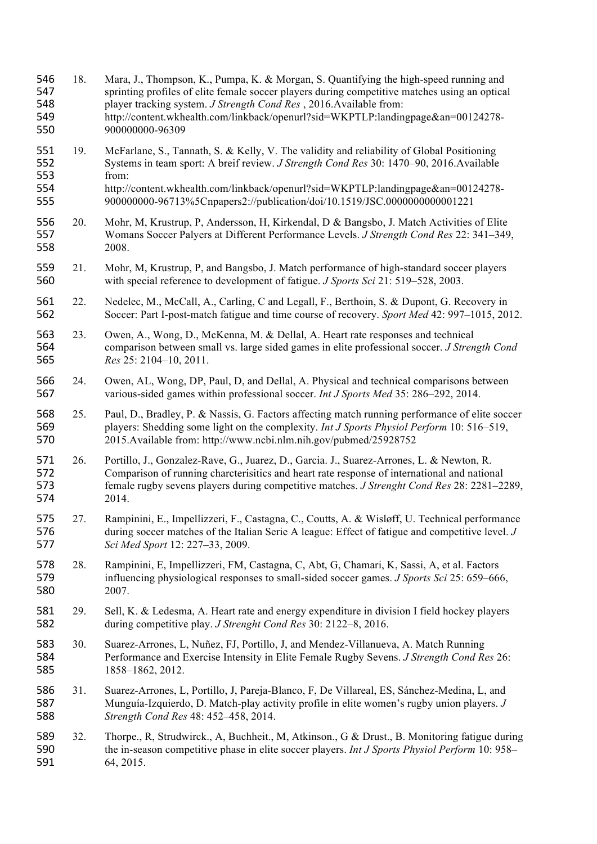- 18. Mara, J., Thompson, K., Pumpa, K. & Morgan, S. Quantifying the high-speed running and sprinting profiles of elite female soccer players during competitive matches using an optical player tracking system. *J Strength Cond Res* , 2016.Available from: http://content.wkhealth.com/linkback/openurl?sid=WKPTLP:landingpage&an=00124278- 900000000-96309
- 19. McFarlane, S., Tannath, S. & Kelly, V. The validity and reliability of Global Positioning Systems in team sport: A breif review. *J Strength Cond Res* 30: 1470–90, 2016.Available from:
- http://content.wkhealth.com/linkback/openurl?sid=WKPTLP:landingpage&an=00124278- 900000000-96713%5Cnpapers2://publication/doi/10.1519/JSC.0000000000001221
- 20. Mohr, M, Krustrup, P, Andersson, H, Kirkendal, D & Bangsbo, J. Match Activities of Elite Womans Soccer Palyers at Different Performance Levels. *J Strength Cond Res* 22: 341–349, 2008.
- 21. Mohr, M, Krustrup, P, and Bangsbo, J. Match performance of high-standard soccer players with special reference to development of fatigue. *J Sports Sci* 21: 519–528, 2003.
- 22. Nedelec, M., McCall, A., Carling, C and Legall, F., Berthoin, S. & Dupont, G. Recovery in Soccer: Part I-post-match fatigue and time course of recovery. *Sport Med* 42: 997–1015, 2012.
- 563 23. Owen, A., Wong, D., McKenna, M. & Dellal, A. Heart rate responses and technical comparison between small vs. large sided games in elite professional soccer. *J Stren*  comparison between small vs. large sided games in elite professional soccer. *J Strength Cond Res* 25: 2104–10, 2011.
- 24. Owen, AL, Wong, DP, Paul, D, and Dellal, A. Physical and technical comparisons between various-sided games within professional soccer. *Int J Sports Med* 35: 286–292, 2014.
- 25. Paul, D., Bradley, P. & Nassis, G. Factors affecting match running performance of elite soccer players: Shedding some light on the complexity. *Int J Sports Physiol Perform* 10: 516–519, 2015.Available from: http://www.ncbi.nlm.nih.gov/pubmed/25928752
- 26. Portillo, J., Gonzalez-Rave, G., Juarez, D., Garcia. J., Suarez-Arrones, L. & Newton, R. Comparison of running charcterisitics and heart rate response of international and national female rugby sevens players during competitive matches. *J Strenght Cond Res* 28: 2281–2289, 2014.
- 27. Rampinini, E., Impellizzeri, F., Castagna, C., Coutts, A. & Wisløff, U. Technical performance during soccer matches of the Italian Serie A league: Effect of fatigue and competitive level. *J Sci Med Sport* 12: 227–33, 2009.
- 28. Rampinini, E, Impellizzeri, FM, Castagna, C, Abt, G, Chamari, K, Sassi, A, et al. Factors influencing physiological responses to small-sided soccer games. *J Sports Sci* 25: 659–666, 2007.
- 29. Sell, K. & Ledesma, A. Heart rate and energy expenditure in division I field hockey players during competitive play. *J Strenght Cond Res* 30: 2122–8, 2016.
- 30. Suarez-Arrones, L, Nuñez, FJ, Portillo, J, and Mendez-Villanueva, A. Match Running Performance and Exercise Intensity in Elite Female Rugby Sevens. *J Strength Cond Res* 26: 1858–1862, 2012.
- 31. Suarez-Arrones, L, Portillo, J, Pareja-Blanco, F, De Villareal, ES, Sánchez-Medina, L, and Munguía-Izquierdo, D. Match-play activity profile in elite women's rugby union players. *J Strength Cond Res* 48: 452–458, 2014.
- 32. Thorpe., R, Strudwirck., A, Buchheit., M, Atkinson., G & Drust., B. Monitoring fatigue during the in-season competitive phase in elite soccer players. *Int J Sports Physiol Perform* 10: 958– 64, 2015.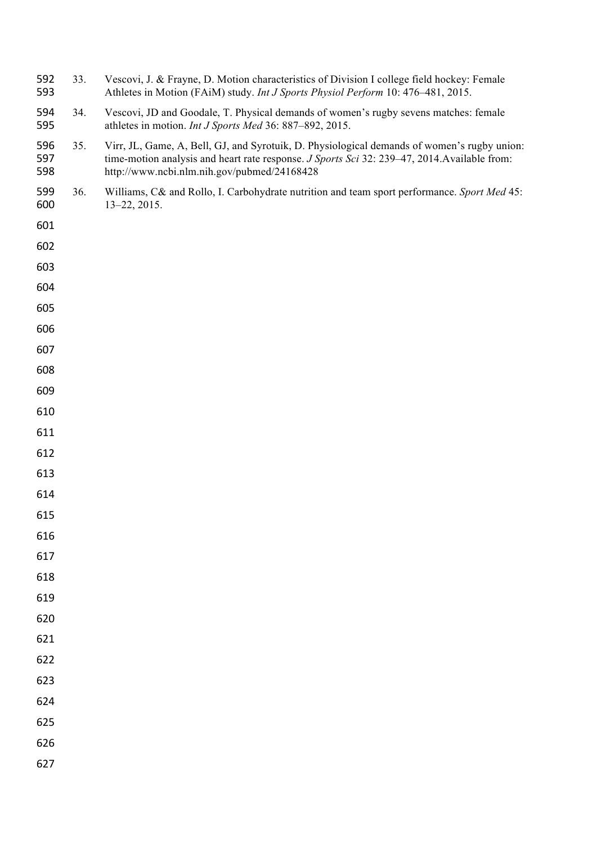| 592<br>593        | 33. | Vescovi, J. & Frayne, D. Motion characteristics of Division I college field hockey: Female<br>Athletes in Motion (FAiM) study. Int J Sports Physiol Perform 10: 476-481, 2015.                                                             |
|-------------------|-----|--------------------------------------------------------------------------------------------------------------------------------------------------------------------------------------------------------------------------------------------|
| 594<br>595        | 34. | Vescovi, JD and Goodale, T. Physical demands of women's rugby sevens matches: female<br>athletes in motion. Int J Sports Med 36: 887-892, 2015.                                                                                            |
| 596<br>597<br>598 | 35. | Virr, JL, Game, A, Bell, GJ, and Syrotuik, D. Physiological demands of women's rugby union:<br>time-motion analysis and heart rate response. J Sports Sci 32: 239-47, 2014. Available from:<br>http://www.ncbi.nlm.nih.gov/pubmed/24168428 |
| 599<br>600        | 36. | Williams, C& and Rollo, I. Carbohydrate nutrition and team sport performance. Sport Med 45:<br>$13 - 22, 2015.$                                                                                                                            |
| 601               |     |                                                                                                                                                                                                                                            |
| 602               |     |                                                                                                                                                                                                                                            |
| 603               |     |                                                                                                                                                                                                                                            |
| 604               |     |                                                                                                                                                                                                                                            |
| 605               |     |                                                                                                                                                                                                                                            |
| 606               |     |                                                                                                                                                                                                                                            |
| 607               |     |                                                                                                                                                                                                                                            |
| 608               |     |                                                                                                                                                                                                                                            |
| 609               |     |                                                                                                                                                                                                                                            |
| 610               |     |                                                                                                                                                                                                                                            |
| 611               |     |                                                                                                                                                                                                                                            |
| 612               |     |                                                                                                                                                                                                                                            |
| 613               |     |                                                                                                                                                                                                                                            |
| 614               |     |                                                                                                                                                                                                                                            |
| 615               |     |                                                                                                                                                                                                                                            |
| 616               |     |                                                                                                                                                                                                                                            |
| 617               |     |                                                                                                                                                                                                                                            |
| 618               |     |                                                                                                                                                                                                                                            |
| 619               |     |                                                                                                                                                                                                                                            |
| 620               |     |                                                                                                                                                                                                                                            |
| 621               |     |                                                                                                                                                                                                                                            |
| 622               |     |                                                                                                                                                                                                                                            |
| 623               |     |                                                                                                                                                                                                                                            |
| 624               |     |                                                                                                                                                                                                                                            |
| 625               |     |                                                                                                                                                                                                                                            |
| 626               |     |                                                                                                                                                                                                                                            |
| 627               |     |                                                                                                                                                                                                                                            |
|                   |     |                                                                                                                                                                                                                                            |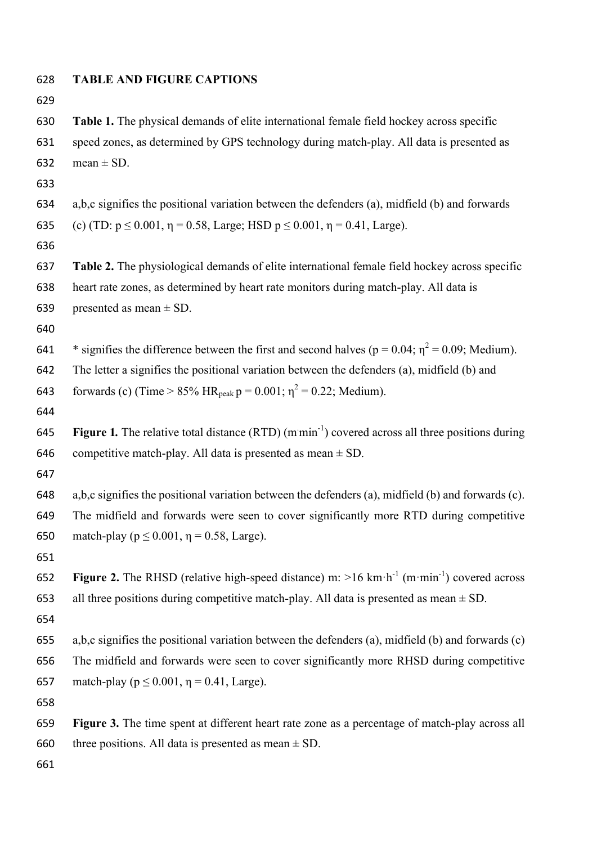| 628 | <b>TABLE AND FIGURE CAPTIONS</b>                                                                                           |
|-----|----------------------------------------------------------------------------------------------------------------------------|
| 629 |                                                                                                                            |
| 630 | Table 1. The physical demands of elite international female field hockey across specific                                   |
| 631 | speed zones, as determined by GPS technology during match-play. All data is presented as                                   |
| 632 | mean $\pm$ SD.                                                                                                             |
| 633 |                                                                                                                            |
| 634 | a,b,c signifies the positional variation between the defenders (a), midfield (b) and forwards                              |
| 635 | (c) (TD: $p \le 0.001$ , $\eta = 0.58$ , Large; HSD $p \le 0.001$ , $\eta = 0.41$ , Large).                                |
| 636 |                                                                                                                            |
| 637 | Table 2. The physiological demands of elite international female field hockey across specific                              |
| 638 | heart rate zones, as determined by heart rate monitors during match-play. All data is                                      |
| 639 | presented as mean $\pm$ SD.                                                                                                |
| 640 |                                                                                                                            |
| 641 | * signifies the difference between the first and second halves ( $p = 0.04$ ; $\eta^2 = 0.09$ ; Medium).                   |
| 642 | The letter a signifies the positional variation between the defenders (a), midfield (b) and                                |
| 643 | forwards (c) (Time > 85% HR <sub>peak</sub> p = 0.001; $\eta^2$ = 0.22; Medium).                                           |
| 644 |                                                                                                                            |
| 645 | <b>Figure 1.</b> The relative total distance $(RTD)$ (mmin <sup>-1</sup> ) covered across all three positions during       |
| 646 | competitive match-play. All data is presented as mean $\pm$ SD.                                                            |
| 647 |                                                                                                                            |
| 648 | a,b,c signifies the positional variation between the defenders (a), midfield (b) and forwards (c).                         |
| 649 | The midfield and forwards were seen to cover significantly more RTD during competitive                                     |
| 650 | match-play ( $p \le 0.001$ , $\eta = 0.58$ , Large).                                                                       |
| 651 |                                                                                                                            |
| 652 | <b>Figure 2.</b> The RHSD (relative high-speed distance) m: $>16$ km·h <sup>-1</sup> (m·min <sup>-1</sup> ) covered across |
| 653 | all three positions during competitive match-play. All data is presented as mean $\pm$ SD.                                 |
| 654 |                                                                                                                            |
| 655 | a,b,c signifies the positional variation between the defenders (a), midfield (b) and forwards (c)                          |
| 656 | The midfield and forwards were seen to cover significantly more RHSD during competitive                                    |
| 657 | match-play ( $p \le 0.001$ , $\eta = 0.41$ , Large).                                                                       |
| 658 |                                                                                                                            |
| 659 | Figure 3. The time spent at different heart rate zone as a percentage of match-play across all                             |
| 660 | three positions. All data is presented as mean $\pm$ SD.                                                                   |
| 661 |                                                                                                                            |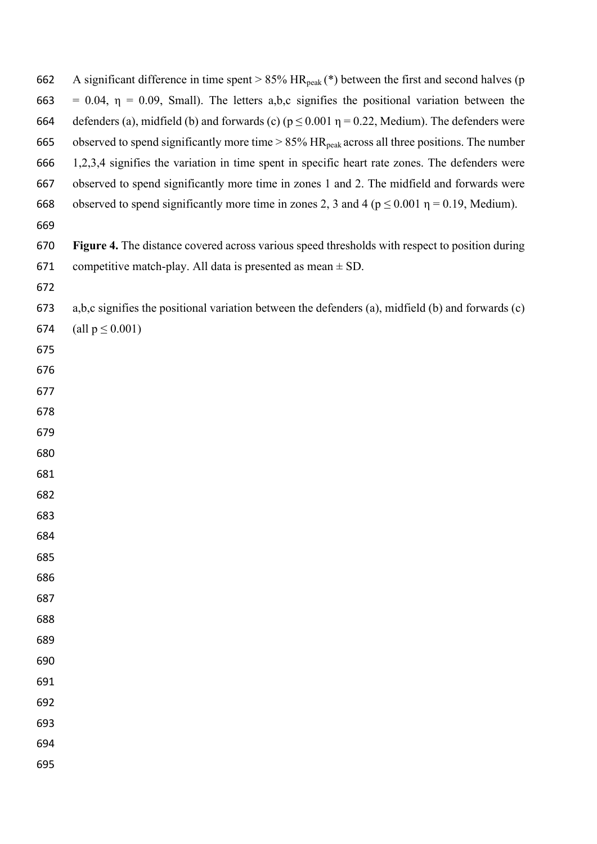| 662 | A significant difference in time spent > $85\%$ HR <sub>peak</sub> (*) between the first and second halves (p |
|-----|---------------------------------------------------------------------------------------------------------------|
| 663 | $= 0.04$ , $\eta = 0.09$ , Small). The letters a,b,c signifies the positional variation between the           |
| 664 | defenders (a), midfield (b) and forwards (c) ( $p \le 0.001$ $\eta = 0.22$ , Medium). The defenders were      |
| 665 | observed to spend significantly more time $> 85\%$ HR <sub>peak</sub> across all three positions. The number  |
| 666 | 1,2,3,4 signifies the variation in time spent in specific heart rate zones. The defenders were                |
| 667 | observed to spend significantly more time in zones 1 and 2. The midfield and forwards were                    |
| 668 | observed to spend significantly more time in zones 2, 3 and 4 ( $p \le 0.001$ $\eta = 0.19$ , Medium).        |
| 669 |                                                                                                               |
| 670 | Figure 4. The distance covered across various speed thresholds with respect to position during                |
| 671 | competitive match-play. All data is presented as mean $\pm$ SD.                                               |
| 672 |                                                                                                               |
| 673 | a,b,c signifies the positional variation between the defenders (a), midfield (b) and forwards (c)             |
| 674 | (all $p \le 0.001$ )                                                                                          |
| 675 |                                                                                                               |
| 676 |                                                                                                               |
| 677 |                                                                                                               |
| 678 |                                                                                                               |
| 679 |                                                                                                               |
| 680 |                                                                                                               |
| 681 |                                                                                                               |
| 682 |                                                                                                               |
| 683 |                                                                                                               |
| 684 |                                                                                                               |
| 685 |                                                                                                               |
| 686 |                                                                                                               |
| 687 |                                                                                                               |
| 688 |                                                                                                               |
| 689 |                                                                                                               |
| 690 |                                                                                                               |
| 691 |                                                                                                               |
| 692 |                                                                                                               |
| 693 |                                                                                                               |
| 694 |                                                                                                               |
| 695 |                                                                                                               |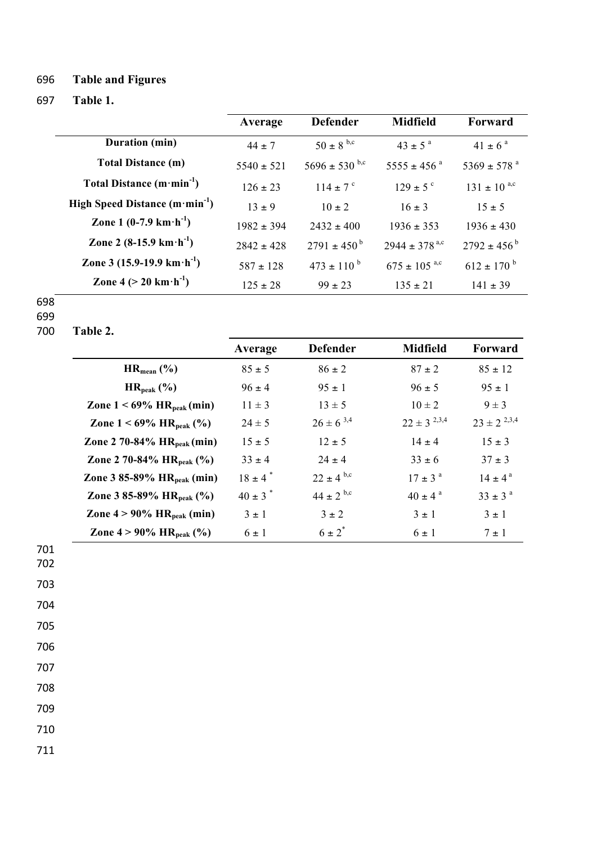# 696 **Table and Figures**

## 697 **Table 1.**

|                                                     | Average        | <b>Defender</b>             | <b>Midfield</b>              | Forward                     |
|-----------------------------------------------------|----------------|-----------------------------|------------------------------|-----------------------------|
| Duration (min)                                      | $44 \pm 7$     | $50 \pm 8^{b,c}$            | $43 \pm 5^{\circ}$           | $41 \pm 6^{\circ}$          |
| <b>Total Distance (m)</b>                           | $5540 \pm 521$ | $5696 \pm 530$ b,c          | $5555 \pm 456$ <sup>a</sup>  | $5369 \pm 578$ <sup>a</sup> |
| Total Distance $(m \cdot min^{-1})$                 | $126 \pm 23$   | $114 \pm 7$ °               | $129 \pm 5$ °                | $131 \pm 10^{a,c}$          |
| High Speed Distance $(m \cdot min^{-1})$            | $13 + 9$       | $10 \pm 2$                  | $16 \pm 3$                   | $15 \pm 5$                  |
| Zone 1 $(0-7.9 \text{ km} \cdot \text{h}^{-1})$     | $1982 \pm 394$ | $2432 \pm 400$              | $1936 \pm 353$               | $1936 \pm 430$              |
| Zone 2 $(8-15.9 \text{ km} \cdot \text{h}^{-1})$    | $2842 \pm 428$ | $2791 \pm 450^{\mathrm{b}}$ | $2944 \pm 378^{a,c}$         | $2792 \pm 456^{\circ}$      |
| Zone 3 $(15.9-19.9 \text{ km} \cdot \text{h}^{-1})$ | $587 \pm 128$  | $473 \pm 110^{b}$           | $675 \pm 105$ <sup>a,c</sup> | $612 \pm 170^{b}$           |
| Zone 4 ( $>$ 20 km $\cdot$ h <sup>-1</sup> )        | $125 \pm 28$   | $99 \pm 23$                 | $135 \pm 21$                 | $141 \pm 39$                |

698

699<br>700 Table 2.

|                                          | Average                 | <b>Defender</b>  | <b>Midfield</b>    | Forward            |
|------------------------------------------|-------------------------|------------------|--------------------|--------------------|
| $HR_{mean}$ (%)                          | $85 \pm 5$              | $86 \pm 2$       | $87 \pm 2$         | $85 \pm 12$        |
| $HR_{peak}$ (%)                          | $96 \pm 4$              | $95 \pm 1$       | $96 \pm 5$         | $95 \pm 1$         |
| Zone $1 < 69\%$ HR <sub>peak</sub> (min) | $11 \pm 3$              | $13 \pm 5$       | $10 \pm 2$         | $9 \pm 3$          |
| Zone $1 < 69\%$ HR <sub>peak</sub> (%)   | $24 \pm 5$              | $26 \pm 6^{3,4}$ | $22 \pm 3^{2,3,4}$ | $23 \pm 2^{2,3,4}$ |
| Zone 2 70-84% $HR_{peak}(min)$           | $15 \pm 5$              | $12 \pm 5$       | $14 \pm 4$         | $15 \pm 3$         |
| Zone 2 70-84% $HR_{peak}$ (%)            | $33 \pm 4$              | $24 \pm 4$       | $33 \pm 6$         | $37 \pm 3$         |
| Zone 3 85-89% $HR_{peak}(min)$           | $18 \pm 4$ <sup>*</sup> | $22 \pm 4^{b,c}$ | $17 \pm 3^{\circ}$ | $14 \pm 4^{\circ}$ |
| Zone 3 85-89% $HR_{peak}$ (%)            | $40 \pm 3$ <sup>*</sup> | $44 \pm 2^{6,c}$ | $40 \pm 4^{\circ}$ | $33 \pm 3^{\circ}$ |
| Zone $4 > 90\%$ HR <sub>peak</sub> (min) | $3 \pm 1$               | $3 \pm 2$        | $3 \pm 1$          | $3 \pm 1$          |
| Zone $4 > 90\%$ HR <sub>peak</sub> (%)   | $6 \pm 1$               | $6 \pm 2^*$      | $6 \pm 1$          | $7 \pm 1$          |

701 702

708 709

710

711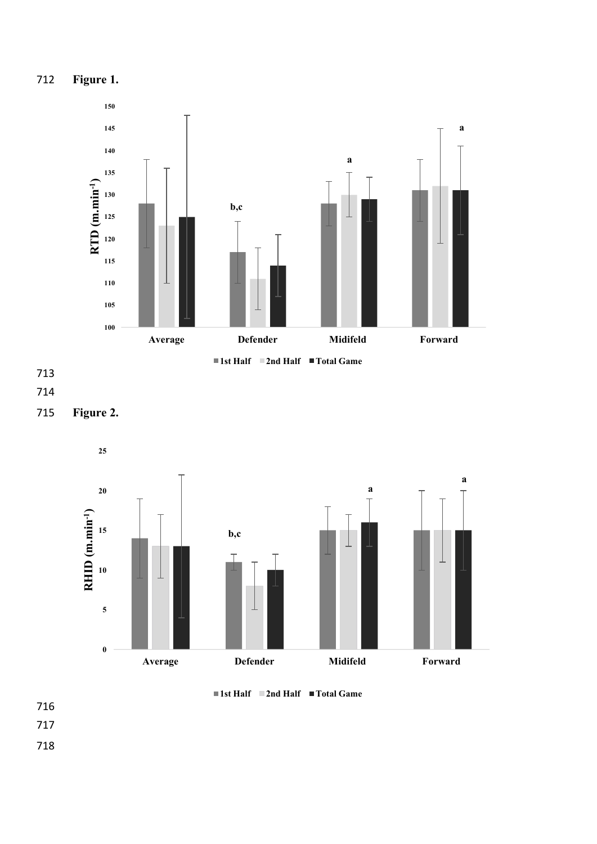





**Figure 2.** 







- 
-